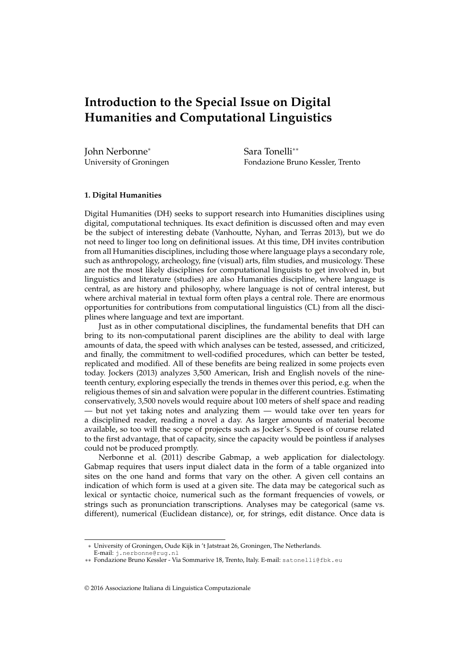# **Introduction to the Special Issue on Digital Humanities and Computational Linguistics**

John Nerbonne<sup>∗</sup> University of Groningen

Sara Tonelli∗∗ Fondazione Bruno Kessler, Trento

## **1. Digital Humanities**

Digital Humanities (DH) seeks to support research into Humanities disciplines using digital, computational techniques. Its exact definition is discussed often and may even be the subject of interesting debate (Vanhoutte, Nyhan, and Terras 2013), but we do not need to linger too long on definitional issues. At this time, DH invites contribution from all Humanities disciplines, including those where language plays a secondary role, such as anthropology, archeology, fine (visual) arts, film studies, and musicology. These are not the most likely disciplines for computational linguists to get involved in, but linguistics and literature (studies) are also Humanities discipline, where language is central, as are history and philosophy, where language is not of central interest, but where archival material in textual form often plays a central role. There are enormous opportunities for contributions from computational linguistics (CL) from all the disciplines where language and text are important.

Just as in other computational disciplines, the fundamental benefits that DH can bring to its non-computational parent disciplines are the ability to deal with large amounts of data, the speed with which analyses can be tested, assessed, and criticized, and finally, the commitment to well-codified procedures, which can better be tested, replicated and modified. All of these benefits are being realized in some projects even today. Jockers (2013) analyzes 3,500 American, Irish and English novels of the nineteenth century, exploring especially the trends in themes over this period, e.g. when the religious themes of sin and salvation were popular in the different countries. Estimating conservatively, 3,500 novels would require about 100 meters of shelf space and reading — but not yet taking notes and analyzing them — would take over ten years for a disciplined reader, reading a novel a day. As larger amounts of material become available, so too will the scope of projects such as Jocker's. Speed is of course related to the first advantage, that of capacity, since the capacity would be pointless if analyses could not be produced promptly.

Nerbonne et al. (2011) describe Gabmap, a web application for dialectology. Gabmap requires that users input dialect data in the form of a table organized into sites on the one hand and forms that vary on the other. A given cell contains an indication of which form is used at a given site. The data may be categorical such as lexical or syntactic choice, numerical such as the formant frequencies of vowels, or strings such as pronunciation transcriptions. Analyses may be categorical (same vs. different), numerical (Euclidean distance), or, for strings, edit distance. Once data is

<sup>∗</sup> University of Groningen, Oude Kijk in 't Jatstraat 26, Groningen, The Netherlands.

E-mail: j.nerbonne@rug.nl

<sup>∗∗</sup> Fondazione Bruno Kessler - Via Sommarive 18, Trento, Italy. E-mail: satonelli@fbk.eu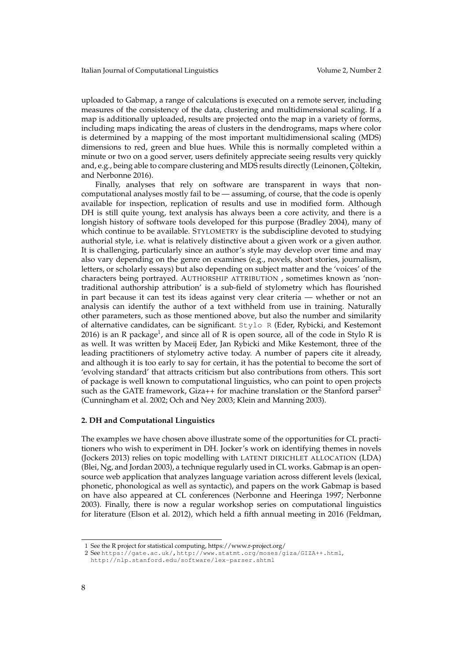uploaded to Gabmap, a range of calculations is executed on a remote server, including measures of the consistency of the data, clustering and multidimensional scaling. If a map is additionally uploaded, results are projected onto the map in a variety of forms, including maps indicating the areas of clusters in the dendrograms, maps where color is determined by a mapping of the most important multidimensional scaling (MDS) dimensions to red, green and blue hues. While this is normally completed within a minute or two on a good server, users definitely appreciate seeing results very quickly and, e.g., being able to compare clustering and MDS results directly (Leinonen, Çöltekin, and Nerbonne 2016).

Finally, analyses that rely on software are transparent in ways that noncomputational analyses mostly fail to be — assuming, of course, that the code is openly available for inspection, replication of results and use in modified form. Although DH is still quite young, text analysis has always been a core activity, and there is a longish history of software tools developed for this purpose (Bradley 2004), many of which continue to be available. STYLOMETRY is the subdiscipline devoted to studying authorial style, i.e. what is relatively distinctive about a given work or a given author. It is challenging, particularly since an author's style may develop over time and may also vary depending on the genre on examines (e.g., novels, short stories, journalism, letters, or scholarly essays) but also depending on subject matter and the 'voices' of the characters being portrayed. AUTHORSHIP ATTRIBUTION , sometimes known as 'nontraditional authorship attribution' is a sub-field of stylometry which has flourished in part because it can test its ideas against very clear criteria — whether or not an analysis can identify the author of a text withheld from use in training. Naturally other parameters, such as those mentioned above, but also the number and similarity of alternative candidates, can be significant. Stylo R (Eder, Rybicki, and Kestemont 2016) is an R package<sup>1</sup>, and since all of R is open source, all of the code in Stylo R is as well. It was written by Maceij Eder, Jan Rybicki and Mike Kestemont, three of the leading practitioners of stylometry active today. A number of papers cite it already, and although it is too early to say for certain, it has the potential to become the sort of 'evolving standard' that attracts criticism but also contributions from others. This sort of package is well known to computational linguistics, who can point to open projects such as the GATE framework, Giza++ for machine translation or the Stanford parser<sup>2</sup> (Cunningham et al. 2002; Och and Ney 2003; Klein and Manning 2003).

### **2. DH and Computational Linguistics**

The examples we have chosen above illustrate some of the opportunities for CL practitioners who wish to experiment in DH. Jocker's work on identifying themes in novels (Jockers 2013) relies on topic modelling with LATENT DIRICHLET ALLOCATION (LDA) (Blei, Ng, and Jordan 2003), a technique regularly used in CL works. Gabmap is an opensource web application that analyzes language variation across different levels (lexical, phonetic, phonological as well as syntactic), and papers on the work Gabmap is based on have also appeared at CL conferences (Nerbonne and Heeringa 1997; Nerbonne 2003). Finally, there is now a regular workshop series on computational linguistics for literature (Elson et al. 2012), which held a fifth annual meeting in 2016 (Feldman,

<sup>1</sup> See the R project for statistical computing, https://www.r-project.org/

<sup>2</sup> See https://gate.ac.uk/,http://www.statmt.org/moses/giza/GIZA++.html, http://nlp.stanford.edu/software/lex-parser.shtml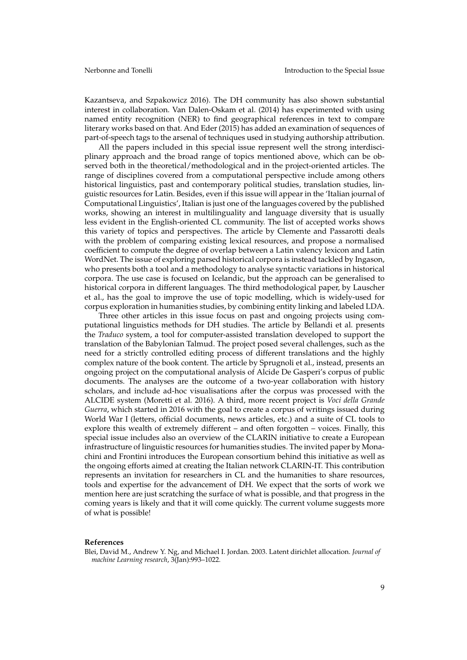Kazantseva, and Szpakowicz 2016). The DH community has also shown substantial interest in collaboration. Van Dalen-Oskam et al. (2014) has experimented with using named entity recognition (NER) to find geographical references in text to compare literary works based on that. And Eder (2015) has added an examination of sequences of part-of-speech tags to the arsenal of techniques used in studying authorship attribution.

All the papers included in this special issue represent well the strong interdisciplinary approach and the broad range of topics mentioned above, which can be observed both in the theoretical/methodological and in the project-oriented articles. The range of disciplines covered from a computational perspective include among others historical linguistics, past and contemporary political studies, translation studies, linguistic resources for Latin. Besides, even if this issue will appear in the 'Italian journal of Computational Linguistics', Italian is just one of the languages covered by the published works, showing an interest in multilinguality and language diversity that is usually less evident in the English-oriented CL community. The list of accepted works shows this variety of topics and perspectives. The article by Clemente and Passarotti deals with the problem of comparing existing lexical resources, and propose a normalised coefficient to compute the degree of overlap between a Latin valency lexicon and Latin WordNet. The issue of exploring parsed historical corpora is instead tackled by Ingason, who presents both a tool and a methodology to analyse syntactic variations in historical corpora. The use case is focused on Icelandic, but the approach can be generalised to historical corpora in different languages. The third methodological paper, by Lauscher et al., has the goal to improve the use of topic modelling, which is widely-used for corpus exploration in humanities studies, by combining entity linking and labeled LDA.

Three other articles in this issue focus on past and ongoing projects using computational linguistics methods for DH studies. The article by Bellandi et al. presents the *Traduco* system, a tool for computer-assisted translation developed to support the translation of the Babylonian Talmud. The project posed several challenges, such as the need for a strictly controlled editing process of different translations and the highly complex nature of the book content. The article by Sprugnoli et al., instead, presents an ongoing project on the computational analysis of Alcide De Gasperi's corpus of public documents. The analyses are the outcome of a two-year collaboration with history scholars, and include ad-hoc visualisations after the corpus was processed with the ALCIDE system (Moretti et al. 2016). A third, more recent project is *Voci della Grande Guerra*, which started in 2016 with the goal to create a corpus of writings issued during World War I (letters, official documents, news articles, etc.) and a suite of CL tools to explore this wealth of extremely different – and often forgotten – voices. Finally, this special issue includes also an overview of the CLARIN initiative to create a European infrastructure of linguistic resources for humanities studies. The invited paper by Monachini and Frontini introduces the European consortium behind this initiative as well as the ongoing efforts aimed at creating the Italian network CLARIN-IT. This contribution represents an invitation for researchers in CL and the humanities to share resources, tools and expertise for the advancement of DH. We expect that the sorts of work we mention here are just scratching the surface of what is possible, and that progress in the coming years is likely and that it will come quickly. The current volume suggests more of what is possible!

#### **References**

Blei, David M., Andrew Y. Ng, and Michael I. Jordan. 2003. Latent dirichlet allocation. *Journal of machine Learning research*, 3(Jan):993–1022.